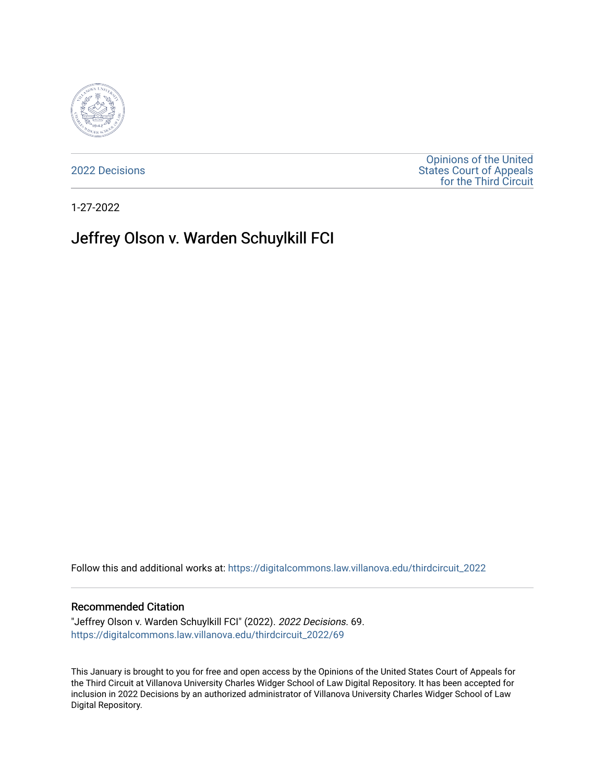

[2022 Decisions](https://digitalcommons.law.villanova.edu/thirdcircuit_2022)

[Opinions of the United](https://digitalcommons.law.villanova.edu/thirdcircuit)  [States Court of Appeals](https://digitalcommons.law.villanova.edu/thirdcircuit)  [for the Third Circuit](https://digitalcommons.law.villanova.edu/thirdcircuit) 

1-27-2022

# Jeffrey Olson v. Warden Schuylkill FCI

Follow this and additional works at: [https://digitalcommons.law.villanova.edu/thirdcircuit\\_2022](https://digitalcommons.law.villanova.edu/thirdcircuit_2022?utm_source=digitalcommons.law.villanova.edu%2Fthirdcircuit_2022%2F69&utm_medium=PDF&utm_campaign=PDFCoverPages) 

#### Recommended Citation

"Jeffrey Olson v. Warden Schuylkill FCI" (2022). 2022 Decisions. 69. [https://digitalcommons.law.villanova.edu/thirdcircuit\\_2022/69](https://digitalcommons.law.villanova.edu/thirdcircuit_2022/69?utm_source=digitalcommons.law.villanova.edu%2Fthirdcircuit_2022%2F69&utm_medium=PDF&utm_campaign=PDFCoverPages)

This January is brought to you for free and open access by the Opinions of the United States Court of Appeals for the Third Circuit at Villanova University Charles Widger School of Law Digital Repository. It has been accepted for inclusion in 2022 Decisions by an authorized administrator of Villanova University Charles Widger School of Law Digital Repository.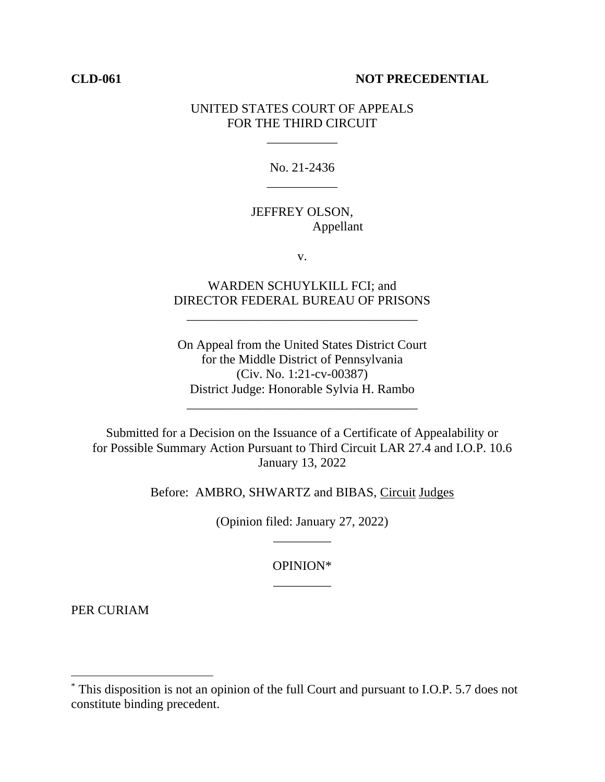#### **CLD-061 NOT PRECEDENTIAL**

### UNITED STATES COURT OF APPEALS FOR THE THIRD CIRCUIT

\_\_\_\_\_\_\_\_\_\_\_

No. 21-2436 \_\_\_\_\_\_\_\_\_\_\_

## JEFFREY OLSON, Appellant

v.

# WARDEN SCHUYLKILL FCI; and DIRECTOR FEDERAL BUREAU OF PRISONS

\_\_\_\_\_\_\_\_\_\_\_\_\_\_\_\_\_\_\_\_\_\_\_\_\_\_\_\_\_\_\_\_\_\_\_\_

On Appeal from the United States District Court for the Middle District of Pennsylvania (Civ. No. 1:21-cv-00387) District Judge: Honorable Sylvia H. Rambo

\_\_\_\_\_\_\_\_\_\_\_\_\_\_\_\_\_\_\_\_\_\_\_\_\_\_\_\_\_\_\_\_\_\_\_\_

Submitted for a Decision on the Issuance of a Certificate of Appealability or for Possible Summary Action Pursuant to Third Circuit LAR 27.4 and I.O.P. 10.6 January 13, 2022

Before: AMBRO, SHWARTZ and BIBAS, Circuit Judges

(Opinion filed: January 27, 2022) \_\_\_\_\_\_\_\_\_

> OPINION\* \_\_\_\_\_\_\_\_\_

PER CURIAM

<sup>\*</sup> This disposition is not an opinion of the full Court and pursuant to I.O.P. 5.7 does not constitute binding precedent.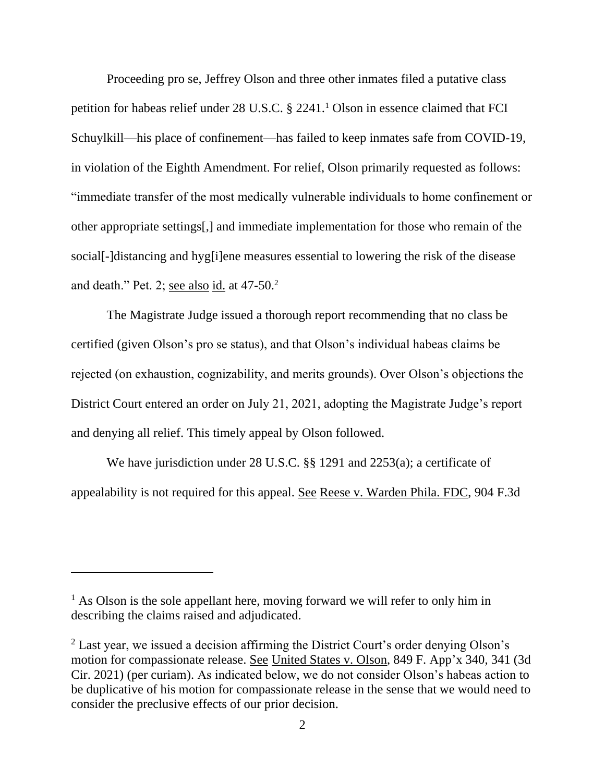Proceeding pro se, Jeffrey Olson and three other inmates filed a putative class petition for habeas relief under 28 U.S.C.  $\S$  2241.<sup>1</sup> Olson in essence claimed that FCI Schuylkill—his place of confinement—has failed to keep inmates safe from COVID-19, in violation of the Eighth Amendment. For relief, Olson primarily requested as follows: "immediate transfer of the most medically vulnerable individuals to home confinement or other appropriate settings[,] and immediate implementation for those who remain of the social[-]distancing and hyg[i]ene measures essential to lowering the risk of the disease and death." Pet. 2; see also id. at  $47-50$ .<sup>2</sup>

The Magistrate Judge issued a thorough report recommending that no class be certified (given Olson's pro se status), and that Olson's individual habeas claims be rejected (on exhaustion, cognizability, and merits grounds). Over Olson's objections the District Court entered an order on July 21, 2021, adopting the Magistrate Judge's report and denying all relief. This timely appeal by Olson followed.

We have jurisdiction under 28 U.S.C. §§ 1291 and 2253(a); a certificate of appealability is not required for this appeal. See Reese v. Warden Phila. FDC, 904 F.3d

 $<sup>1</sup>$  As Olson is the sole appellant here, moving forward we will refer to only him in</sup> describing the claims raised and adjudicated.

 $2$  Last year, we issued a decision affirming the District Court's order denying Olson's motion for compassionate release. See United States v. Olson, 849 F. App'x 340, 341 (3d Cir. 2021) (per curiam). As indicated below, we do not consider Olson's habeas action to be duplicative of his motion for compassionate release in the sense that we would need to consider the preclusive effects of our prior decision.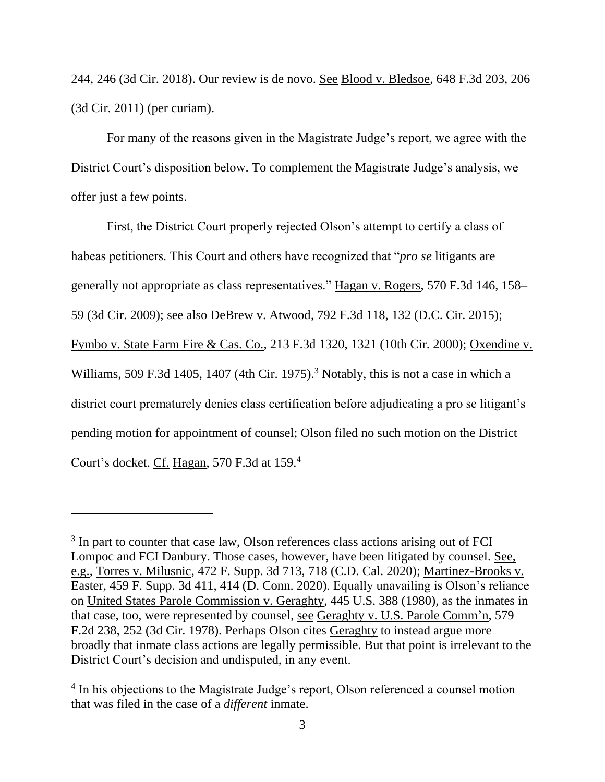244, 246 (3d Cir. 2018). Our review is de novo. See Blood v. Bledsoe, 648 F.3d 203, 206 (3d Cir. 2011) (per curiam).

For many of the reasons given in the Magistrate Judge's report, we agree with the District Court's disposition below. To complement the Magistrate Judge's analysis, we offer just a few points.

First, the District Court properly rejected Olson's attempt to certify a class of habeas petitioners. This Court and others have recognized that "*pro se* litigants are generally not appropriate as class representatives." Hagan v. Rogers, 570 F.3d 146, 158– 59 (3d Cir. 2009); see also DeBrew v. Atwood, 792 F.3d 118, 132 (D.C. Cir. 2015); Fymbo v. State Farm Fire & Cas. Co., 213 F.3d 1320, 1321 (10th Cir. 2000); Oxendine v. Williams, 509 F.3d 1405, 1407 (4th Cir. 1975).<sup>3</sup> Notably, this is not a case in which a district court prematurely denies class certification before adjudicating a pro se litigant's pending motion for appointment of counsel; Olson filed no such motion on the District Court's docket. Cf. Hagan, 570 F.3d at 159.<sup>4</sup>

<sup>&</sup>lt;sup>3</sup> In part to counter that case law, Olson references class actions arising out of FCI Lompoc and FCI Danbury. Those cases, however, have been litigated by counsel. See, e.g., Torres v. Milusnic, 472 F. Supp. 3d 713, 718 (C.D. Cal. 2020); Martinez-Brooks v. Easter, 459 F. Supp. 3d 411, 414 (D. Conn. 2020). Equally unavailing is Olson's reliance on United States Parole Commission v. Geraghty, 445 U.S. 388 (1980), as the inmates in that case, too, were represented by counsel, see Geraghty v. U.S. Parole Comm'n, 579 F.2d 238, 252 (3d Cir. 1978). Perhaps Olson cites Geraghty to instead argue more broadly that inmate class actions are legally permissible. But that point is irrelevant to the District Court's decision and undisputed, in any event.

<sup>&</sup>lt;sup>4</sup> In his objections to the Magistrate Judge's report, Olson referenced a counsel motion that was filed in the case of a *different* inmate.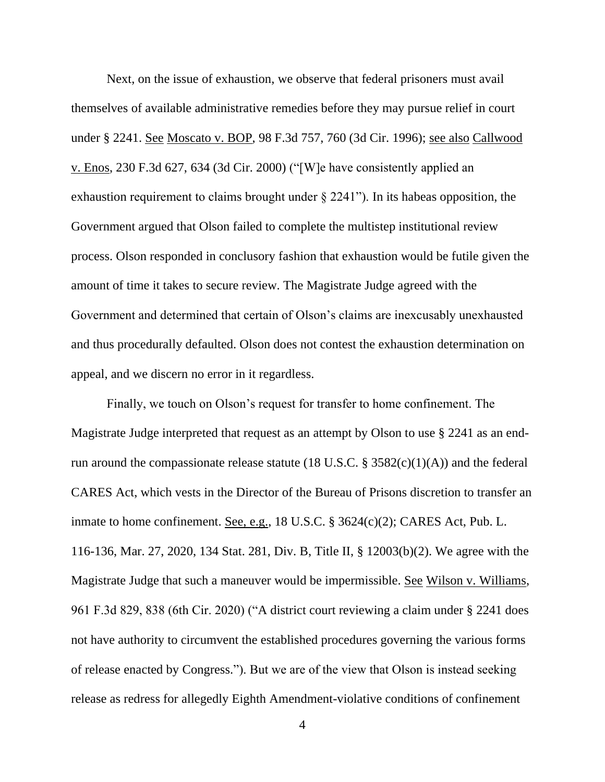Next, on the issue of exhaustion, we observe that federal prisoners must avail themselves of available administrative remedies before they may pursue relief in court under § 2241. See Moscato v. BOP, 98 F.3d 757, 760 (3d Cir. 1996); see also Callwood v. Enos, 230 F.3d 627, 634 (3d Cir. 2000) ("[W]e have consistently applied an exhaustion requirement to claims brought under § 2241"). In its habeas opposition, the Government argued that Olson failed to complete the multistep institutional review process. Olson responded in conclusory fashion that exhaustion would be futile given the amount of time it takes to secure review. The Magistrate Judge agreed with the Government and determined that certain of Olson's claims are inexcusably unexhausted and thus procedurally defaulted. Olson does not contest the exhaustion determination on appeal, and we discern no error in it regardless.

Finally, we touch on Olson's request for transfer to home confinement. The Magistrate Judge interpreted that request as an attempt by Olson to use § 2241 as an endrun around the compassionate release statute (18 U.S.C. §  $3582(c)(1)(A)$ ) and the federal CARES Act, which vests in the Director of the Bureau of Prisons discretion to transfer an inmate to home confinement. See, e.g., 18 U.S.C. § 3624(c)(2); CARES Act, Pub. L. 116-136, Mar. 27, 2020, 134 Stat. 281, Div. B, Title II, § 12003(b)(2). We agree with the Magistrate Judge that such a maneuver would be impermissible. See Wilson v. Williams, 961 F.3d 829, 838 (6th Cir. 2020) ("A district court reviewing a claim under § 2241 does not have authority to circumvent the established procedures governing the various forms of release enacted by Congress."). But we are of the view that Olson is instead seeking release as redress for allegedly Eighth Amendment-violative conditions of confinement

4